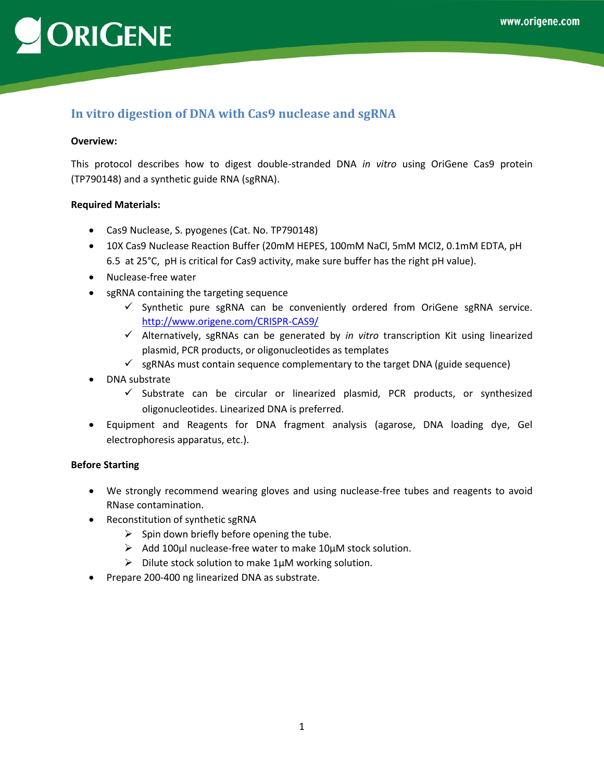# ORIGENE

## **In vitro digestion of DNA with Cas9 nuclease and sgRNA**

#### **Overview:**

This protocol describes how to digest double-stranded DNA *in vitro* using OriGene Cas9 protein (TP790148) and a synthetic guide RNA (sgRNA).

#### **Required Materials:**

- Cas9 Nuclease, S. pyogenes (Cat. No. TP790148)
- 10X Cas9 Nuclease Reaction Buffer (20mM HEPES, 100mM NaCl, 5mM MCl2, 0.1mM EDTA, pH 6.5 at 25°C, pH is critical for Cas9 activity, make sure buffer has the right pH value).
- Nuclease-free water
- sgRNA containing the targeting sequence
	- $\checkmark$  Synthetic pure sgRNA can be conveniently ordered from OriGene sgRNA service. <http://www.origene.com/CRISPR-CAS9/>
	- Alternatively, sgRNAs can be generated by *in vitro* transcription Kit using linearized plasmid, PCR products, or oligonucleotides as templates
	- $\checkmark$  sgRNAs must contain sequence complementary to the target DNA (guide sequence)
- DNA substrate
	- $\checkmark$  Substrate can be circular or linearized plasmid, PCR products, or synthesized oligonucleotides. Linearized DNA is preferred.
- Equipment and Reagents for DNA fragment analysis (agarose, DNA loading dye, Gel electrophoresis apparatus, etc.).

### **Before Starting**

- We strongly recommend wearing gloves and using nuclease-free tubes and reagents to avoid RNase contamination.
- Reconstitution of synthetic sgRNA
	- $\triangleright$  Spin down briefly before opening the tube.
	- $\triangleright$  Add 100µl nuclease-free water to make 10µM stock solution.
	- $\triangleright$  Dilute stock solution to make 1 $\mu$ M working solution.
- Prepare 200-400 ng linearized DNA as substrate.